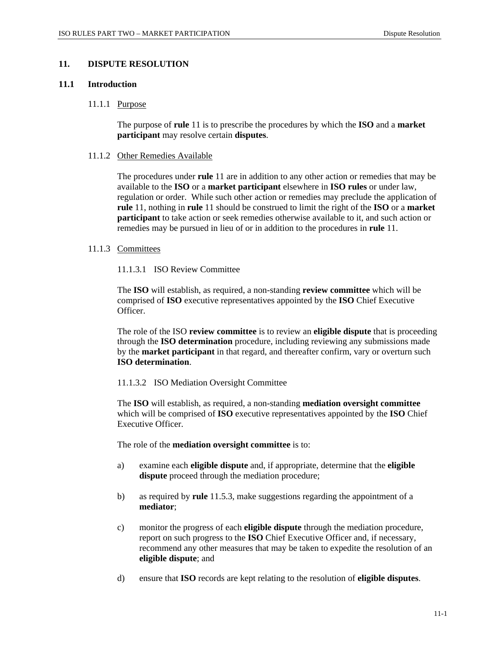## **11. DISPUTE RESOLUTION**

#### **11.1 Introduction**

#### 11.1.1 Purpose

The purpose of **rule** 11 is to prescribe the procedures by which the **ISO** and a **market participant** may resolve certain **disputes**.

#### 11.1.2 Other Remedies Available

The procedures under **rule** 11 are in addition to any other action or remedies that may be available to the **ISO** or a **market participant** elsewhere in **ISO rules** or under law, regulation or order. While such other action or remedies may preclude the application of **rule** 11, nothing in **rule** 11 should be construed to limit the right of the **ISO** or a **market participant** to take action or seek remedies otherwise available to it, and such action or remedies may be pursued in lieu of or in addition to the procedures in **rule** 11.

#### 11.1.3 Committees

# 11.1.3.1 ISO Review Committee

The **ISO** will establish, as required, a non-standing **review committee** which will be comprised of **ISO** executive representatives appointed by the **ISO** Chief Executive Officer.

The role of the ISO **review committee** is to review an **eligible dispute** that is proceeding through the **ISO determination** procedure, including reviewing any submissions made by the **market participant** in that regard, and thereafter confirm, vary or overturn such **ISO determination**.

#### 11.1.3.2 ISO Mediation Oversight Committee

The **ISO** will establish, as required, a non-standing **mediation oversight committee** which will be comprised of **ISO** executive representatives appointed by the **ISO** Chief Executive Officer.

The role of the **mediation oversight committee** is to:

- a) examine each **eligible dispute** and, if appropriate, determine that the **eligible dispute** proceed through the mediation procedure;
- b) as required by **rule** 11.5.3, make suggestions regarding the appointment of a **mediator**;
- c) monitor the progress of each **eligible dispute** through the mediation procedure, report on such progress to the **ISO** Chief Executive Officer and, if necessary, recommend any other measures that may be taken to expedite the resolution of an **eligible dispute**; and
- d) ensure that **ISO** records are kept relating to the resolution of **eligible disputes**.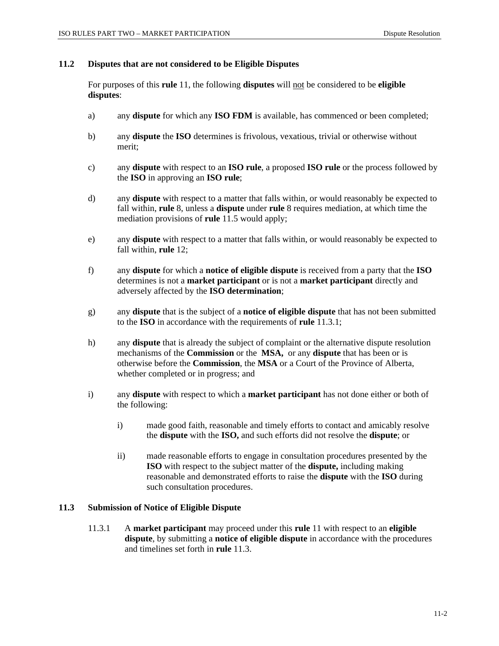### **11.2 Disputes that are not considered to be Eligible Disputes**

For purposes of this **rule** 11, the following **disputes** will not be considered to be **eligible disputes**:

- a) any **dispute** for which any **ISO FDM** is available, has commenced or been completed;
- b) any **dispute** the **ISO** determines is frivolous, vexatious, trivial or otherwise without merit;
- c) any **dispute** with respect to an **ISO rule**, a proposed **ISO rule** or the process followed by the **ISO** in approving an **ISO rule**;
- d) any **dispute** with respect to a matter that falls within, or would reasonably be expected to fall within, **rule** 8, unless a **dispute** under **rule** 8 requires mediation, at which time the mediation provisions of **rule** 11.5 would apply;
- e) any **dispute** with respect to a matter that falls within, or would reasonably be expected to fall within, **rule** 12;
- f) any **dispute** for which a **notice of eligible dispute** is received from a party that the **ISO** determines is not a **market participant** or is not a **market participant** directly and adversely affected by the **ISO determination**;
- g) any **dispute** that is the subject of a **notice of eligible dispute** that has not been submitted to the **ISO** in accordance with the requirements of **rule** 11.3.1;
- h) any **dispute** that is already the subject of complaint or the alternative dispute resolution mechanisms of the **Commission** or the **MSA,** or any **dispute** that has been or is otherwise before the **Commission**, the **MSA** or a Court of the Province of Alberta, whether completed or in progress; and
- i) any **dispute** with respect to which a **market participant** has not done either or both of the following:
	- i) made good faith, reasonable and timely efforts to contact and amicably resolve the **dispute** with the **ISO,** and such efforts did not resolve the **dispute**; or
	- ii) made reasonable efforts to engage in consultation procedures presented by the **ISO** with respect to the subject matter of the **dispute,** including making reasonable and demonstrated efforts to raise the **dispute** with the **ISO** during such consultation procedures.

#### **11.3 Submission of Notice of Eligible Dispute**

11.3.1 A **market participant** may proceed under this **rule** 11 with respect to an **eligible dispute**, by submitting a **notice of eligible dispute** in accordance with the procedures and timelines set forth in **rule** 11.3.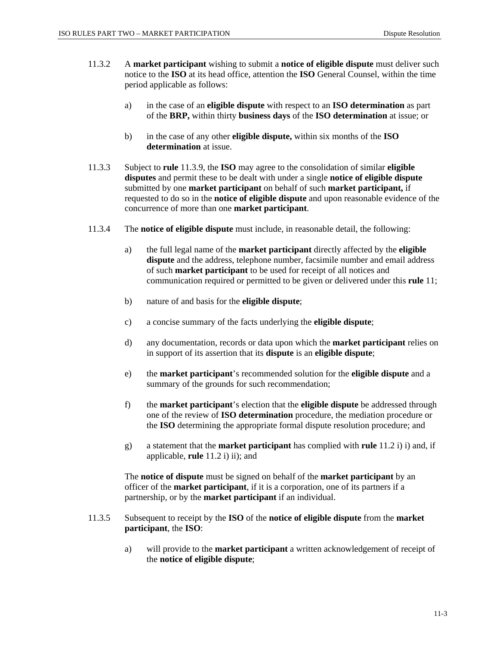- 11.3.2 A **market participant** wishing to submit a **notice of eligible dispute** must deliver such notice to the **ISO** at its head office, attention the **ISO** General Counsel, within the time period applicable as follows:
	- a) in the case of an **eligible dispute** with respect to an **ISO determination** as part of the **BRP,** within thirty **business days** of the **ISO determination** at issue; or
	- b) in the case of any other **eligible dispute,** within six months of the **ISO determination** at issue.
- 11.3.3 Subject to **rule** 11.3.9, the **ISO** may agree to the consolidation of similar **eligible disputes** and permit these to be dealt with under a single **notice of eligible dispute**  submitted by one **market participant** on behalf of such **market participant,** if requested to do so in the **notice of eligible dispute** and upon reasonable evidence of the concurrence of more than one **market participant**.
- 11.3.4 The **notice of eligible dispute** must include, in reasonable detail, the following:
	- a) the full legal name of the **market participant** directly affected by the **eligible dispute** and the address, telephone number, facsimile number and email address of such **market participant** to be used for receipt of all notices and communication required or permitted to be given or delivered under this **rule** 11;
	- b) nature of and basis for the **eligible dispute**;
	- c) a concise summary of the facts underlying the **eligible dispute**;
	- d) any documentation, records or data upon which the **market participant** relies on in support of its assertion that its **dispute** is an **eligible dispute**;
	- e) the **market participant**'s recommended solution for the **eligible dispute** and a summary of the grounds for such recommendation;
	- f) the **market participant**'s election that the **eligible dispute** be addressed through one of the review of **ISO determination** procedure, the mediation procedure or the **ISO** determining the appropriate formal dispute resolution procedure; and
	- g) a statement that the **market participant** has complied with **rule** 11.2 i) i) and, if applicable, **rule** 11.2 i) ii); and

The **notice of dispute** must be signed on behalf of the **market participant** by an officer of the **market participant**, if it is a corporation, one of its partners if a partnership, or by the **market participant** if an individual.

- 11.3.5 Subsequent to receipt by the **ISO** of the **notice of eligible dispute** from the **market participant**, the **ISO**:
	- a) will provide to the **market participant** a written acknowledgement of receipt of the **notice of eligible dispute**;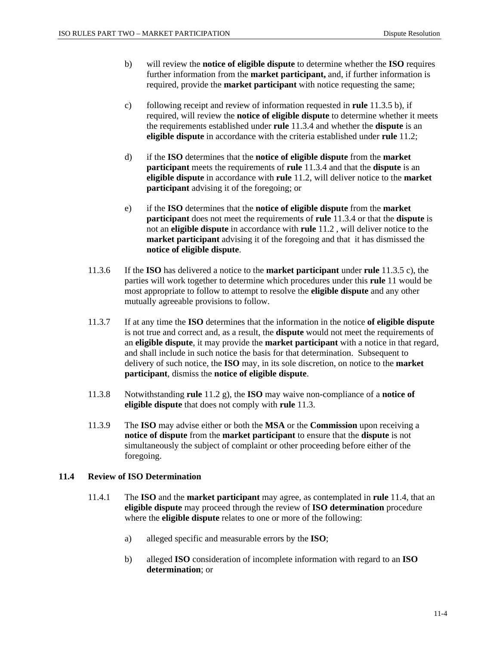- b) will review the **notice of eligible dispute** to determine whether the **ISO** requires further information from the **market participant,** and, if further information is required, provide the **market participant** with notice requesting the same;
- c) following receipt and review of information requested in **rule** 11.3.5 b), if required, will review the **notice of eligible dispute** to determine whether it meets the requirements established under **rule** 11.3.4 and whether the **dispute** is an **eligible dispute** in accordance with the criteria established under **rule** 11.2;
- d) if the **ISO** determines that the **notice of eligible dispute** from the **market participant** meets the requirements of **rule** 11.3.4 and that the **dispute** is an **eligible dispute** in accordance with **rule** 11.2, will deliver notice to the **market participant** advising it of the foregoing; or
- e) if the **ISO** determines that the **notice of eligible dispute** from the **market participant** does not meet the requirements of **rule** 11.3.4 or that the **dispute** is not an **eligible dispute** in accordance with **rule** 11.2 , will deliver notice to the **market participant** advising it of the foregoing and that it has dismissed the **notice of eligible dispute**.
- 11.3.6 If the **ISO** has delivered a notice to the **market participant** under **rule** 11.3.5 c), the parties will work together to determine which procedures under this **rule** 11 would be most appropriate to follow to attempt to resolve the **eligible dispute** and any other mutually agreeable provisions to follow.
- 11.3.7 If at any time the **ISO** determines that the information in the notice **of eligible dispute** is not true and correct and, as a result, the **dispute** would not meet the requirements of an **eligible dispute**, it may provide the **market participant** with a notice in that regard, and shall include in such notice the basis for that determination. Subsequent to delivery of such notice, the **ISO** may, in its sole discretion, on notice to the **market participant**, dismiss the **notice of eligible dispute**.
- 11.3.8 Notwithstanding **rule** 11.2 g), the **ISO** may waive non-compliance of a **notice of eligible dispute** that does not comply with **rule** 11.3.
- 11.3.9 The **ISO** may advise either or both the **MSA** or the **Commission** upon receiving a **notice of dispute** from the **market participant** to ensure that the **dispute** is not simultaneously the subject of complaint or other proceeding before either of the foregoing.

# **11.4 Review of ISO Determination**

- 11.4.1 The **ISO** and the **market participant** may agree, as contemplated in **rule** 11.4, that an **eligible dispute** may proceed through the review of **ISO determination** procedure where the **eligible dispute** relates to one or more of the following:
	- a) alleged specific and measurable errors by the **ISO**;
	- b) alleged **ISO** consideration of incomplete information with regard to an **ISO determination**; or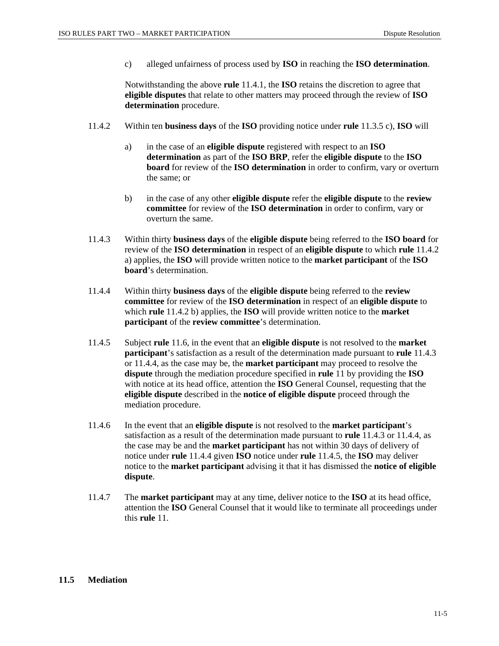c) alleged unfairness of process used by **ISO** in reaching the **ISO determination**.

Notwithstanding the above **rule** 11.4.1, the **ISO** retains the discretion to agree that **eligible disputes** that relate to other matters may proceed through the review of **ISO determination** procedure.

- 11.4.2 Within ten **business days** of the **ISO** providing notice under **rule** 11.3.5 c), **ISO** will
	- a) in the case of an **eligible dispute** registered with respect to an **ISO determination** as part of the **ISO BRP**, refer the **eligible dispute** to the **ISO board** for review of the **ISO determination** in order to confirm, vary or overturn the same; or
	- b) in the case of any other **eligible dispute** refer the **eligible dispute** to the **review committee** for review of the **ISO determination** in order to confirm, vary or overturn the same.
- 11.4.3 Within thirty **business days** of the **eligible dispute** being referred to the **ISO board** for review of the **ISO determination** in respect of an **eligible dispute** to which **rule** 11.4.2 a) applies, the **ISO** will provide written notice to the **market participant** of the **ISO board**'s determination.
- 11.4.4 Within thirty **business days** of the **eligible dispute** being referred to the **review committee** for review of the **ISO determination** in respect of an **eligible dispute** to which **rule** 11.4.2 b) applies, the **ISO** will provide written notice to the **market participant** of the **review committee**'s determination.
- 11.4.5 Subject **rule** 11.6, in the event that an **eligible dispute** is not resolved to the **market participant**'s satisfaction as a result of the determination made pursuant to **rule** 11.4.3 or 11.4.4, as the case may be, the **market participant** may proceed to resolve the **dispute** through the mediation procedure specified in **rule** 11 by providing the **ISO** with notice at its head office, attention the **ISO** General Counsel, requesting that the **eligible dispute** described in the **notice of eligible dispute** proceed through the mediation procedure.
- 11.4.6 In the event that an **eligible dispute** is not resolved to the **market participant**'s satisfaction as a result of the determination made pursuant to **rule** 11.4.3 or 11.4.4, as the case may be and the **market participant** has not within 30 days of delivery of notice under **rule** 11.4.4 given **ISO** notice under **rule** 11.4.5, the **ISO** may deliver notice to the **market participant** advising it that it has dismissed the **notice of eligible dispute**.
- 11.4.7 The **market participant** may at any time, deliver notice to the **ISO** at its head office, attention the **ISO** General Counsel that it would like to terminate all proceedings under this **rule** 11.

#### **11.5 Mediation**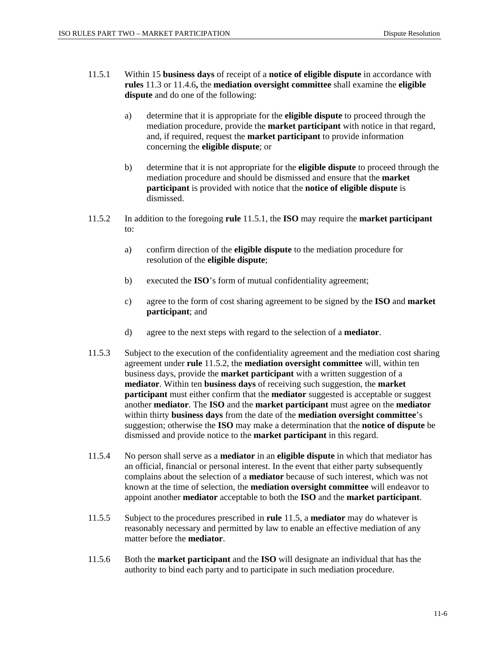- 11.5.1 Within 15 **business days** of receipt of a **notice of eligible dispute** in accordance with **rules** 11.3 or 11.4.6**,** the **mediation oversight committee** shall examine the **eligible dispute** and do one of the following:
	- a) determine that it is appropriate for the **eligible dispute** to proceed through the mediation procedure, provide the **market participant** with notice in that regard, and, if required, request the **market participant** to provide information concerning the **eligible dispute**; or
	- b) determine that it is not appropriate for the **eligible dispute** to proceed through the mediation procedure and should be dismissed and ensure that the **market participant** is provided with notice that the **notice of eligible dispute** is dismissed.
- 11.5.2 In addition to the foregoing **rule** 11.5.1, the **ISO** may require the **market participant** to:
	- a) confirm direction of the **eligible dispute** to the mediation procedure for resolution of the **eligible dispute**;
	- b) executed the **ISO**'s form of mutual confidentiality agreement;
	- c) agree to the form of cost sharing agreement to be signed by the **ISO** and **market participant**; and
	- d) agree to the next steps with regard to the selection of a **mediator**.
- 11.5.3 Subject to the execution of the confidentiality agreement and the mediation cost sharing agreement under **rule** 11.5.2, the **mediation oversight committee** will, within ten business days, provide the **market participant** with a written suggestion of a **mediator**. Within ten **business days** of receiving such suggestion, the **market participant** must either confirm that the **mediator** suggested is acceptable or suggest another **mediator**. The **ISO** and the **market participant** must agree on the **mediator** within thirty **business days** from the date of the **mediation oversight committee**'s suggestion; otherwise the **ISO** may make a determination that the **notice of dispute** be dismissed and provide notice to the **market participant** in this regard.
- 11.5.4 No person shall serve as a **mediator** in an **eligible dispute** in which that mediator has an official, financial or personal interest. In the event that either party subsequently complains about the selection of a **mediator** because of such interest, which was not known at the time of selection, the **mediation oversight committee** will endeavor to appoint another **mediator** acceptable to both the **ISO** and the **market participant**.
- 11.5.5 Subject to the procedures prescribed in **rule** 11.5, a **mediator** may do whatever is reasonably necessary and permitted by law to enable an effective mediation of any matter before the **mediator**.
- 11.5.6 Both the **market participant** and the **ISO** will designate an individual that has the authority to bind each party and to participate in such mediation procedure.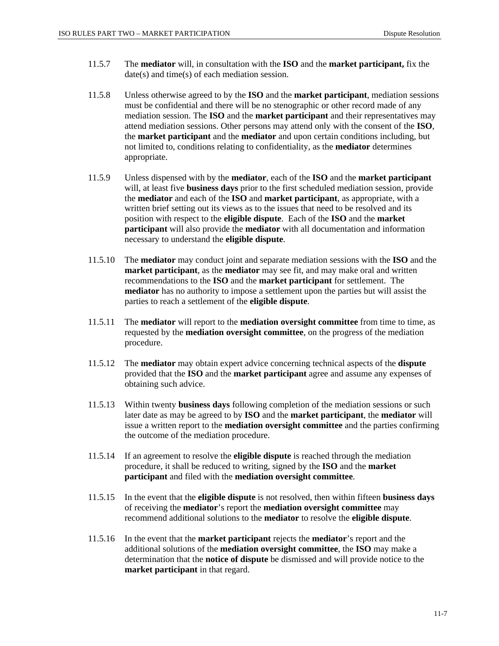- 11.5.7 The **mediator** will, in consultation with the **ISO** and the **market participant,** fix the date(s) and time(s) of each mediation session.
- 11.5.8 Unless otherwise agreed to by the **ISO** and the **market participant**, mediation sessions must be confidential and there will be no stenographic or other record made of any mediation session. The **ISO** and the **market participant** and their representatives may attend mediation sessions. Other persons may attend only with the consent of the **ISO**, the **market participant** and the **mediator** and upon certain conditions including, but not limited to, conditions relating to confidentiality, as the **mediator** determines appropriate.
- 11.5.9 Unless dispensed with by the **mediator**, each of the **ISO** and the **market participant** will, at least five **business days** prior to the first scheduled mediation session, provide the **mediator** and each of the **ISO** and **market participant**, as appropriate, with a written brief setting out its views as to the issues that need to be resolved and its position with respect to the **eligible dispute**. Each of the **ISO** and the **market participant** will also provide the **mediator** with all documentation and information necessary to understand the **eligible dispute**.
- 11.5.10 The **mediator** may conduct joint and separate mediation sessions with the **ISO** and the **market participant**, as the **mediator** may see fit, and may make oral and written recommendations to the **ISO** and the **market participant** for settlement. The **mediator** has no authority to impose a settlement upon the parties but will assist the parties to reach a settlement of the **eligible dispute**.
- 11.5.11 The **mediator** will report to the **mediation oversight committee** from time to time, as requested by the **mediation oversight committee**, on the progress of the mediation procedure.
- 11.5.12 The **mediator** may obtain expert advice concerning technical aspects of the **dispute** provided that the **ISO** and the **market participant** agree and assume any expenses of obtaining such advice.
- 11.5.13 Within twenty **business days** following completion of the mediation sessions or such later date as may be agreed to by **ISO** and the **market participant**, the **mediator** will issue a written report to the **mediation oversight committee** and the parties confirming the outcome of the mediation procedure.
- 11.5.14 If an agreement to resolve the **eligible dispute** is reached through the mediation procedure, it shall be reduced to writing, signed by the **ISO** and the **market participant** and filed with the **mediation oversight committee**.
- 11.5.15 In the event that the **eligible dispute** is not resolved, then within fifteen **business days** of receiving the **mediator**'s report the **mediation oversight committee** may recommend additional solutions to the **mediator** to resolve the **eligible dispute**.
- 11.5.16 In the event that the **market participant** rejects the **mediator**'s report and the additional solutions of the **mediation oversight committee**, the **ISO** may make a determination that the **notice of dispute** be dismissed and will provide notice to the **market participant** in that regard.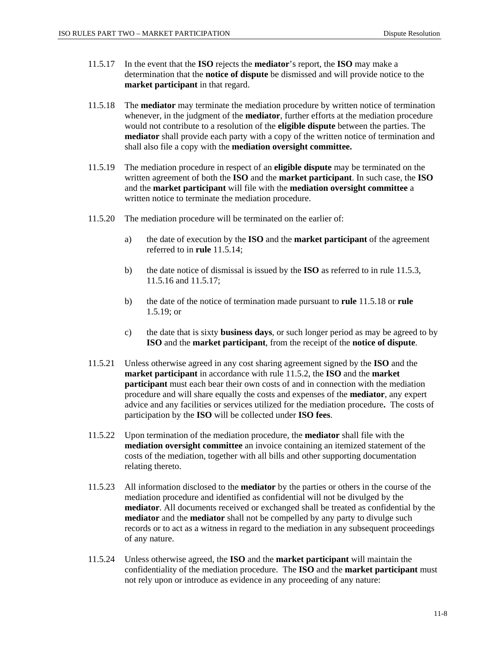- 11.5.17 In the event that the **ISO** rejects the **mediator**'s report, the **ISO** may make a determination that the **notice of dispute** be dismissed and will provide notice to the **market participant** in that regard.
- 11.5.18 The **mediator** may terminate the mediation procedure by written notice of termination whenever, in the judgment of the **mediator**, further efforts at the mediation procedure would not contribute to a resolution of the **eligible dispute** between the parties. The **mediator** shall provide each party with a copy of the written notice of termination and shall also file a copy with the **mediation oversight committee.**
- 11.5.19 The mediation procedure in respect of an **eligible dispute** may be terminated on the written agreement of both the **ISO** and the **market participant**. In such case, the **ISO** and the **market participant** will file with the **mediation oversight committee** a written notice to terminate the mediation procedure.
- 11.5.20 The mediation procedure will be terminated on the earlier of:
	- a) the date of execution by the **ISO** and the **market participant** of the agreement referred to in **rule** 11.5.14;
	- b) the date notice of dismissal is issued by the **ISO** as referred to in rule 11.5.3, 11.5.16 and 11.5.17;
	- b) the date of the notice of termination made pursuant to **rule** 11.5.18 or **rule** 1.5.19; or
	- c) the date that is sixty **business days**, or such longer period as may be agreed to by **ISO** and the **market participant**, from the receipt of the **notice of dispute**.
- 11.5.21 Unless otherwise agreed in any cost sharing agreement signed by the **ISO** and the **market participant** in accordance with rule 11.5.2, the **ISO** and the **market participant** must each bear their own costs of and in connection with the mediation procedure and will share equally the costs and expenses of the **mediator**, any expert advice and any facilities or services utilized for the mediation procedure**.** The costs of participation by the **ISO** will be collected under **ISO fees**.
- 11.5.22 Upon termination of the mediation procedure, the **mediator** shall file with the **mediation oversight committee** an invoice containing an itemized statement of the costs of the mediation, together with all bills and other supporting documentation relating thereto.
- 11.5.23 All information disclosed to the **mediator** by the parties or others in the course of the mediation procedure and identified as confidential will not be divulged by the **mediator**. All documents received or exchanged shall be treated as confidential by the **mediator** and the **mediator** shall not be compelled by any party to divulge such records or to act as a witness in regard to the mediation in any subsequent proceedings of any nature.
- 11.5.24 Unless otherwise agreed, the **ISO** and the **market participant** will maintain the confidentiality of the mediation procedure. The **ISO** and the **market participant** must not rely upon or introduce as evidence in any proceeding of any nature: